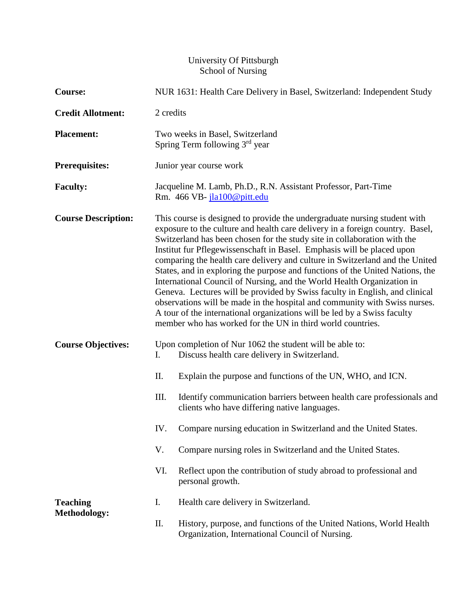### University Of Pittsburgh School of Nursing

| <b>Course:</b>                         | NUR 1631: Health Care Delivery in Basel, Switzerland: Independent Study                                                                                                                                                                                                                                                                                                                                                                                                                                                                                                                                                                                                                                                                                                                                                                                            |                                                                                                                        |
|----------------------------------------|--------------------------------------------------------------------------------------------------------------------------------------------------------------------------------------------------------------------------------------------------------------------------------------------------------------------------------------------------------------------------------------------------------------------------------------------------------------------------------------------------------------------------------------------------------------------------------------------------------------------------------------------------------------------------------------------------------------------------------------------------------------------------------------------------------------------------------------------------------------------|------------------------------------------------------------------------------------------------------------------------|
| <b>Credit Allotment:</b>               | 2 credits                                                                                                                                                                                                                                                                                                                                                                                                                                                                                                                                                                                                                                                                                                                                                                                                                                                          |                                                                                                                        |
| <b>Placement:</b>                      | Two weeks in Basel, Switzerland<br>Spring Term following 3 <sup>rd</sup> year                                                                                                                                                                                                                                                                                                                                                                                                                                                                                                                                                                                                                                                                                                                                                                                      |                                                                                                                        |
| <b>Prerequisites:</b>                  | Junior year course work                                                                                                                                                                                                                                                                                                                                                                                                                                                                                                                                                                                                                                                                                                                                                                                                                                            |                                                                                                                        |
| <b>Faculty:</b>                        | Jacqueline M. Lamb, Ph.D., R.N. Assistant Professor, Part-Time<br>Rm. 466 VB-jla100@pitt.edu                                                                                                                                                                                                                                                                                                                                                                                                                                                                                                                                                                                                                                                                                                                                                                       |                                                                                                                        |
| <b>Course Description:</b>             | This course is designed to provide the undergraduate nursing student with<br>exposure to the culture and health care delivery in a foreign country. Basel,<br>Switzerland has been chosen for the study site in collaboration with the<br>Institut fur Pflegewissenschaft in Basel. Emphasis will be placed upon<br>comparing the health care delivery and culture in Switzerland and the United<br>States, and in exploring the purpose and functions of the United Nations, the<br>International Council of Nursing, and the World Health Organization in<br>Geneva. Lectures will be provided by Swiss faculty in English, and clinical<br>observations will be made in the hospital and community with Swiss nurses.<br>A tour of the international organizations will be led by a Swiss faculty<br>member who has worked for the UN in third world countries. |                                                                                                                        |
| <b>Course Objectives:</b>              | I.                                                                                                                                                                                                                                                                                                                                                                                                                                                                                                                                                                                                                                                                                                                                                                                                                                                                 | Upon completion of Nur 1062 the student will be able to:<br>Discuss health care delivery in Switzerland.               |
|                                        | Π.                                                                                                                                                                                                                                                                                                                                                                                                                                                                                                                                                                                                                                                                                                                                                                                                                                                                 | Explain the purpose and functions of the UN, WHO, and ICN.                                                             |
|                                        | III.                                                                                                                                                                                                                                                                                                                                                                                                                                                                                                                                                                                                                                                                                                                                                                                                                                                               | Identify communication barriers between health care professionals and<br>clients who have differing native languages.  |
|                                        |                                                                                                                                                                                                                                                                                                                                                                                                                                                                                                                                                                                                                                                                                                                                                                                                                                                                    | IV. Compare nursing education in Switzerland and the United States.                                                    |
|                                        | V.                                                                                                                                                                                                                                                                                                                                                                                                                                                                                                                                                                                                                                                                                                                                                                                                                                                                 | Compare nursing roles in Switzerland and the United States.                                                            |
|                                        | VI.                                                                                                                                                                                                                                                                                                                                                                                                                                                                                                                                                                                                                                                                                                                                                                                                                                                                | Reflect upon the contribution of study abroad to professional and<br>personal growth.                                  |
| <b>Teaching</b><br><b>Methodology:</b> | I.                                                                                                                                                                                                                                                                                                                                                                                                                                                                                                                                                                                                                                                                                                                                                                                                                                                                 | Health care delivery in Switzerland.                                                                                   |
|                                        | Π.                                                                                                                                                                                                                                                                                                                                                                                                                                                                                                                                                                                                                                                                                                                                                                                                                                                                 | History, purpose, and functions of the United Nations, World Health<br>Organization, International Council of Nursing. |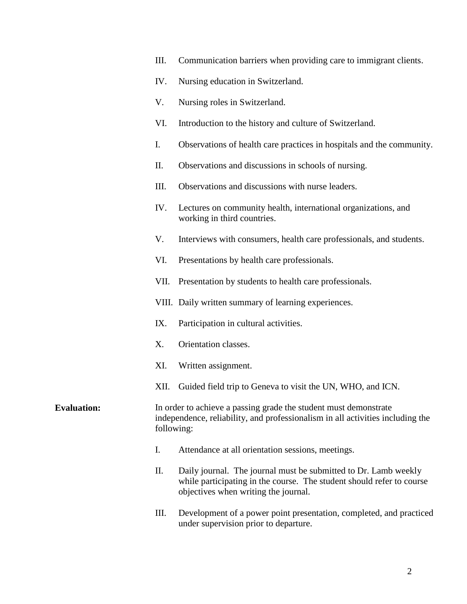- III. Communication barriers when providing care to immigrant clients.
- IV. Nursing education in Switzerland.
- V. Nursing roles in Switzerland.
- VI. Introduction to the history and culture of Switzerland.
- I. Observations of health care practices in hospitals and the community.
- II. Observations and discussions in schools of nursing.
- III. Observations and discussions with nurse leaders.
- IV. Lectures on community health, international organizations, and working in third countries.
- V. Interviews with consumers, health care professionals, and students.
- VI. Presentations by health care professionals.
- VII. Presentation by students to health care professionals.
- VIII. Daily written summary of learning experiences.
- IX. Participation in cultural activities.
- X. Orientation classes.
- XI. Written assignment.
- XII. Guided field trip to Geneva to visit the UN, WHO, and ICN.

## **Evaluation:** In order to achieve a passing grade the student must demonstrate independence, reliability, and professionalism in all activities including the following:

- I. Attendance at all orientation sessions, meetings.
- II. Daily journal. The journal must be submitted to Dr. Lamb weekly while participating in the course. The student should refer to course objectives when writing the journal.
- III. Development of a power point presentation, completed, and practiced under supervision prior to departure.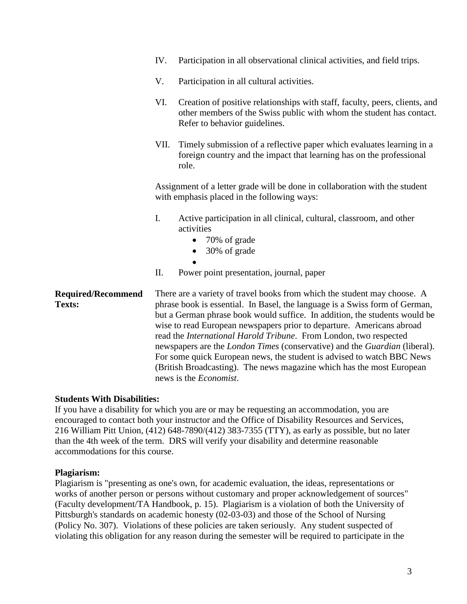- IV. Participation in all observational clinical activities, and field trips.
- V. Participation in all cultural activities.
- VI. Creation of positive relationships with staff, faculty, peers, clients, and other members of the Swiss public with whom the student has contact. Refer to behavior guidelines.
- VII. Timely submission of a reflective paper which evaluates learning in a foreign country and the impact that learning has on the professional role.

Assignment of a letter grade will be done in collaboration with the student with emphasis placed in the following ways:

- I. Active participation in all clinical, cultural, classroom, and other activities
	- 70% of grade
	- 30% of grade
	- $\bullet$
- II. Power point presentation, journal, paper

**Required/Recommend Texts:** There are a variety of travel books from which the student may choose. A phrase book is essential. In Basel, the language is a Swiss form of German, but a German phrase book would suffice. In addition, the students would be wise to read European newspapers prior to departure. Americans abroad read the *International Harold Tribune*. From London, two respected newspapers are the *London Times* (conservative) and the *Guardian* (liberal). For some quick European news, the student is advised to watch BBC News (British Broadcasting). The news magazine which has the most European news is the *Economist*.

#### **Students With Disabilities:**

If you have a disability for which you are or may be requesting an accommodation, you are encouraged to contact both your instructor and the Office of Disability Resources and Services, 216 William Pitt Union, (412) 648-7890/(412) 383-7355 (TTY), as early as possible, but no later than the 4th week of the term. DRS will verify your disability and determine reasonable accommodations for this course.

#### **Plagiarism:**

Plagiarism is "presenting as one's own, for academic evaluation, the ideas, representations or works of another person or persons without customary and proper acknowledgement of sources" (Faculty development/TA Handbook, p. 15). Plagiarism is a violation of both the University of Pittsburgh's standards on academic honesty (02-03-03) and those of the School of Nursing (Policy No. 307). Violations of these policies are taken seriously. Any student suspected of violating this obligation for any reason during the semester will be required to participate in the